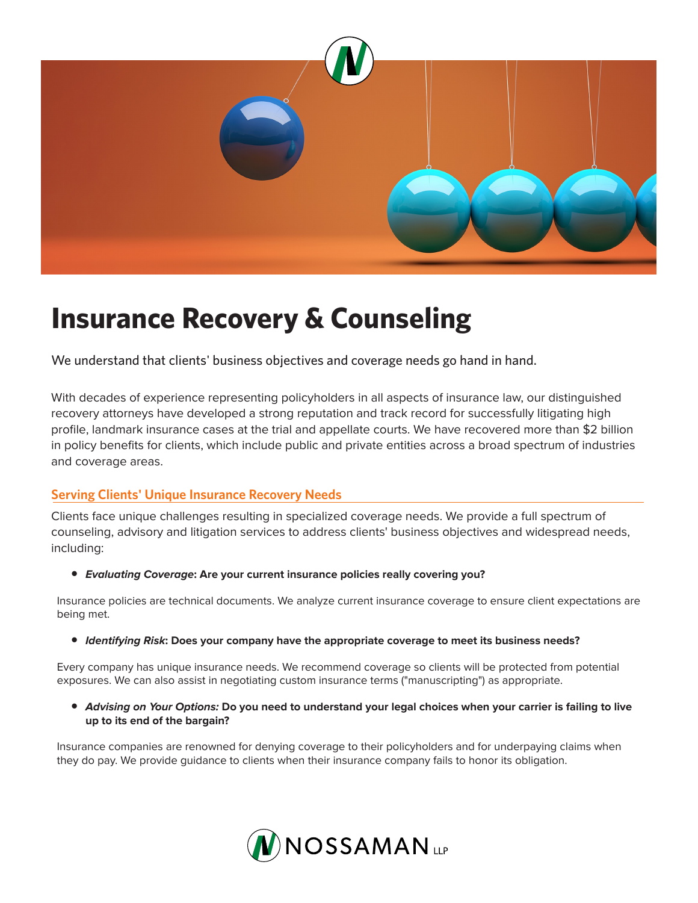

# **Insurance Recovery & Counseling**

We understand that clients' business objectives and coverage needs go hand in hand.

With decades of experience representing policyholders in all aspects of insurance law, our distinguished recovery attorneys have developed a strong reputation and track record for successfully litigating high profile, landmark insurance cases at the trial and appellate courts. We have recovered more than \$2 billion in policy benefits for clients, which include public and private entities across a broad spectrum of industries and coverage areas.

### **Serving Clients' Unique Insurance Recovery Needs**

Clients face unique challenges resulting in specialized coverage needs. We provide a full spectrum of counseling, advisory and litigation services to address clients' business objectives and widespread needs, including:

● *Evaluating Coverage***: Are your current insurance policies really covering you?** 

Insurance policies are technical documents. We analyze current insurance coverage to ensure client expectations are being met.

● *Identifying Risk***: Does your company have the appropriate coverage to meet its business needs?** 

Every company has unique insurance needs. We recommend coverage so clients will be protected from potential exposures. We can also assist in negotiating custom insurance terms ("manuscripting") as appropriate.

● *Advising on Your Options:* **Do you need to understand your legal choices when your carrier is failing to live up to its end of the bargain?**

Insurance companies are renowned for denying coverage to their policyholders and for underpaying claims when they do pay. We provide guidance to clients when their insurance company fails to honor its obligation.

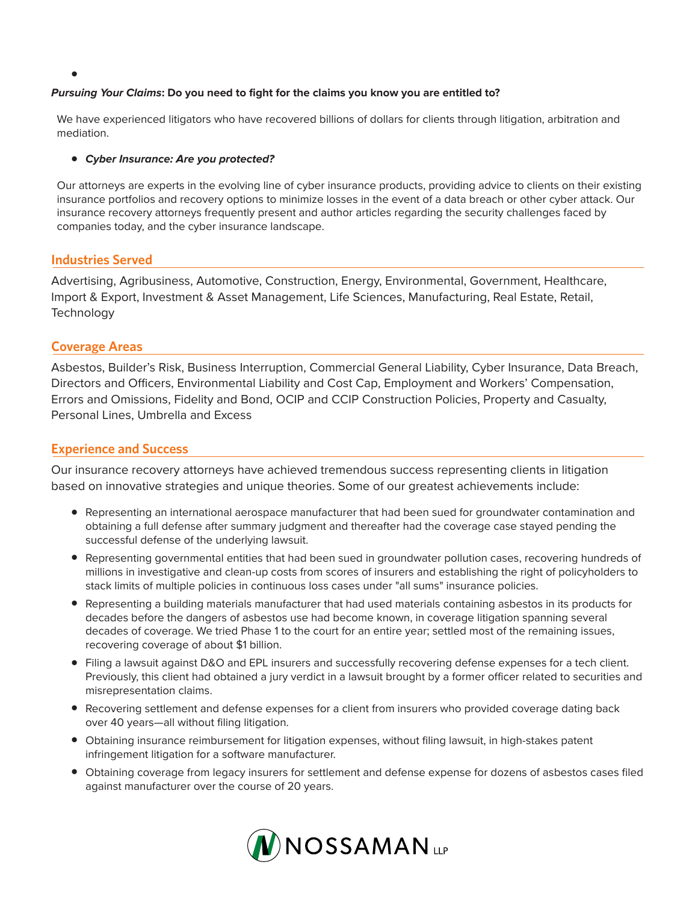#### *Pursuing Your Claims***: Do you need to fight for the claims you know you are entitled to?**

We have experienced litigators who have recovered billions of dollars for clients through litigation, arbitration and mediation.

#### ● *Cyber Insurance: Are you protected?*

Our attorneys are experts in the evolving line of cyber insurance products, providing advice to clients on their existing insurance portfolios and recovery options to minimize losses in the event of a data breach or other cyber attack. Our insurance recovery attorneys frequently present and author articles regarding the security challenges faced by companies today, and the cyber insurance landscape.

#### **Industries Served**

●

Advertising, Agribusiness, Automotive, Construction, Energy, Environmental, Government, Healthcare, Import & Export, Investment & Asset Management, Life Sciences, Manufacturing, Real Estate, Retail, **Technology** 

#### **Coverage Areas**

Asbestos, Builder's Risk, Business Interruption, Commercial General Liability, Cyber Insurance, Data Breach, Directors and Officers, Environmental Liability and Cost Cap, Employment and Workers' Compensation, Errors and Omissions, Fidelity and Bond, OCIP and CCIP Construction Policies, Property and Casualty, Personal Lines, Umbrella and Excess

#### **Experience and Success**

Our insurance recovery attorneys have achieved tremendous success representing clients in litigation based on innovative strategies and unique theories. Some of our greatest achievements include:

- Representing an international aerospace manufacturer that had been sued for groundwater contamination and obtaining a full defense after summary judgment and thereafter had the coverage case stayed pending the successful defense of the underlying lawsuit.
- Representing governmental entities that had been sued in groundwater pollution cases, recovering hundreds of millions in investigative and clean-up costs from scores of insurers and establishing the right of policyholders to stack limits of multiple policies in continuous loss cases under "all sums" insurance policies.
- Representing a building materials manufacturer that had used materials containing asbestos in its products for decades before the dangers of asbestos use had become known, in coverage litigation spanning several decades of coverage. We tried Phase 1 to the court for an entire year; settled most of the remaining issues, recovering coverage of about \$1 billion.
- Filing a lawsuit against D&O and EPL insurers and successfully recovering defense expenses for a tech client. Previously, this client had obtained a jury verdict in a lawsuit brought by a former officer related to securities and misrepresentation claims.
- Recovering settlement and defense expenses for a client from insurers who provided coverage dating back over 40 years—all without filing litigation.
- Obtaining insurance reimbursement for litigation expenses, without filing lawsuit, in high-stakes patent infringement litigation for a software manufacturer.
- Obtaining coverage from legacy insurers for settlement and defense expense for dozens of asbestos cases filed against manufacturer over the course of 20 years.